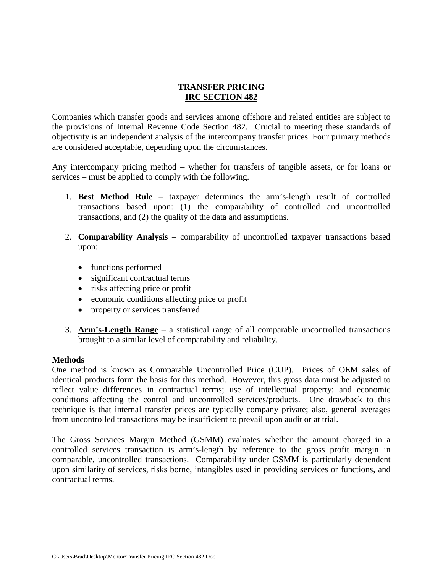## **TRANSFER PRICING IRC SECTION 482**

Companies which transfer goods and services among offshore and related entities are subject to the provisions of Internal Revenue Code Section 482. Crucial to meeting these standards of objectivity is an independent analysis of the intercompany transfer prices. Four primary methods are considered acceptable, depending upon the circumstances.

Any intercompany pricing method – whether for transfers of tangible assets, or for loans or services – must be applied to comply with the following.

- 1. **Best Method Rule** taxpayer determines the arm's-length result of controlled transactions based upon: (1) the comparability of controlled and uncontrolled transactions, and (2) the quality of the data and assumptions.
- 2. **Comparability Analysis** comparability of uncontrolled taxpayer transactions based upon:
	- functions performed
	- significant contractual terms
	- risks affecting price or profit
	- economic conditions affecting price or profit
	- property or services transferred
- 3. **Arm's-Length Range** a statistical range of all comparable uncontrolled transactions brought to a similar level of comparability and reliability.

## **Methods**

One method is known as Comparable Uncontrolled Price (CUP). Prices of OEM sales of identical products form the basis for this method. However, this gross data must be adjusted to reflect value differences in contractual terms; use of intellectual property; and economic conditions affecting the control and uncontrolled services/products. One drawback to this technique is that internal transfer prices are typically company private; also, general averages from uncontrolled transactions may be insufficient to prevail upon audit or at trial.

The Gross Services Margin Method (GSMM) evaluates whether the amount charged in a controlled services transaction is arm's-length by reference to the gross profit margin in comparable, uncontrolled transactions. Comparability under GSMM is particularly dependent upon similarity of services, risks borne, intangibles used in providing services or functions, and contractual terms.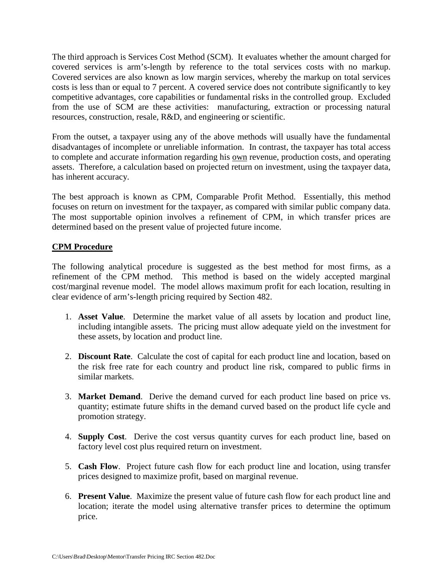The third approach is Services Cost Method (SCM). It evaluates whether the amount charged for covered services is arm's-length by reference to the total services costs with no markup. Covered services are also known as low margin services, whereby the markup on total services costs is less than or equal to 7 percent. A covered service does not contribute significantly to key competitive advantages, core capabilities or fundamental risks in the controlled group. Excluded from the use of SCM are these activities: manufacturing, extraction or processing natural resources, construction, resale, R&D, and engineering or scientific.

From the outset, a taxpayer using any of the above methods will usually have the fundamental disadvantages of incomplete or unreliable information. In contrast, the taxpayer has total access to complete and accurate information regarding his own revenue, production costs, and operating assets. Therefore, a calculation based on projected return on investment, using the taxpayer data, has inherent accuracy.

The best approach is known as CPM, Comparable Profit Method. Essentially, this method focuses on return on investment for the taxpayer, as compared with similar public company data. The most supportable opinion involves a refinement of CPM, in which transfer prices are determined based on the present value of projected future income.

## **CPM Procedure**

The following analytical procedure is suggested as the best method for most firms, as a refinement of the CPM method. This method is based on the widely accepted marginal cost/marginal revenue model. The model allows maximum profit for each location, resulting in clear evidence of arm's-length pricing required by Section 482.

- 1. **Asset Value**. Determine the market value of all assets by location and product line, including intangible assets. The pricing must allow adequate yield on the investment for these assets, by location and product line.
- 2. **Discount Rate**. Calculate the cost of capital for each product line and location, based on the risk free rate for each country and product line risk, compared to public firms in similar markets.
- 3. **Market Demand**. Derive the demand curved for each product line based on price vs. quantity; estimate future shifts in the demand curved based on the product life cycle and promotion strategy.
- 4. **Supply Cost**. Derive the cost versus quantity curves for each product line, based on factory level cost plus required return on investment.
- 5. **Cash Flow**. Project future cash flow for each product line and location, using transfer prices designed to maximize profit, based on marginal revenue.
- 6. **Present Value**. Maximize the present value of future cash flow for each product line and location; iterate the model using alternative transfer prices to determine the optimum price.